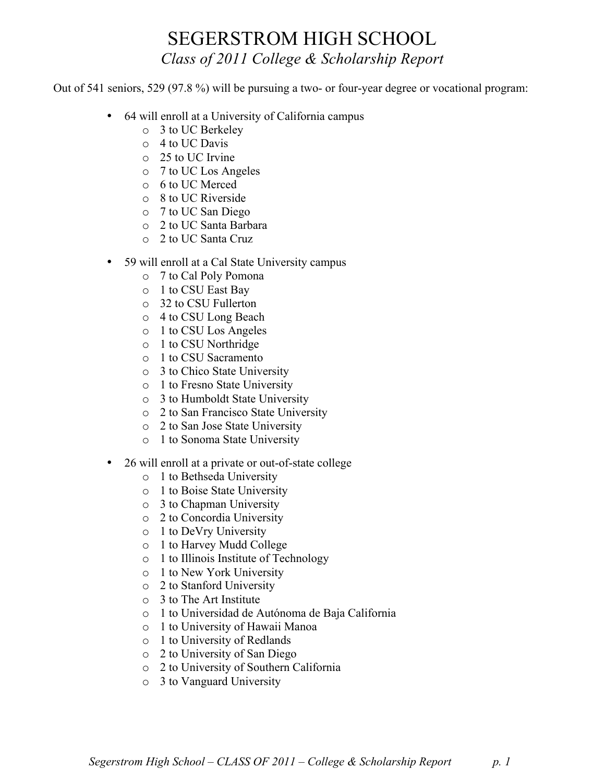## SEGERSTROM HIGH SCHOOL *Class of 2011 College & Scholarship Report*

Out of 541 seniors, 529 (97.8 %) will be pursuing a two- or four-year degree or vocational program:

- 64 will enroll at a University of California campus
	- o 3 to UC Berkeley
	- o 4 to UC Davis
	- o 25 to UC Irvine
	- o 7 to UC Los Angeles
	- o 6 to UC Merced
	- o 8 to UC Riverside
	- o 7 to UC San Diego
	- o 2 to UC Santa Barbara
	- o 2 to UC Santa Cruz
- 59 will enroll at a Cal State University campus
	- o 7 to Cal Poly Pomona
	- o 1 to CSU East Bay
	- o 32 to CSU Fullerton
	- o 4 to CSU Long Beach
	- o 1 to CSU Los Angeles
	- o 1 to CSU Northridge
	- o 1 to CSU Sacramento
	- o 3 to Chico State University
	- o 1 to Fresno State University
	- o 3 to Humboldt State University
	- o 2 to San Francisco State University
	- o 2 to San Jose State University
	- o 1 to Sonoma State University
- 26 will enroll at a private or out-of-state college
	- o 1 to Bethseda University
	- o 1 to Boise State University
	- o 3 to Chapman University
	- o 2 to Concordia University
	- o 1 to DeVry University
	- o 1 to Harvey Mudd College
	- o 1 to Illinois Institute of Technology
	- o 1 to New York University
	- o 2 to Stanford University
	- o 3 to The Art Institute
	- o 1 to Universidad de Autónoma de Baja California
	- o 1 to University of Hawaii Manoa
	- o 1 to University of Redlands
	- o 2 to University of San Diego
	- o 2 to University of Southern California
	- o 3 to Vanguard University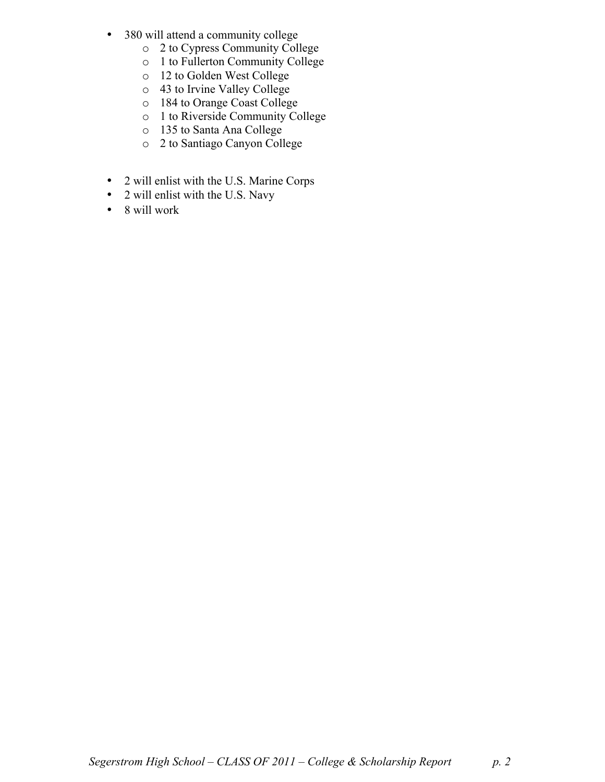- 380 will attend a community college
	- o 2 to Cypress Community College
	- o 1 to Fullerton Community College
	- o 12 to Golden West College
	- o 43 to Irvine Valley College
	- o 184 to Orange Coast College
	- o 1 to Riverside Community College
	- o 135 to Santa Ana College
	- o 2 to Santiago Canyon College
- 2 will enlist with the U.S. Marine Corps
- 2 will enlist with the U.S. Navy
- 8 will work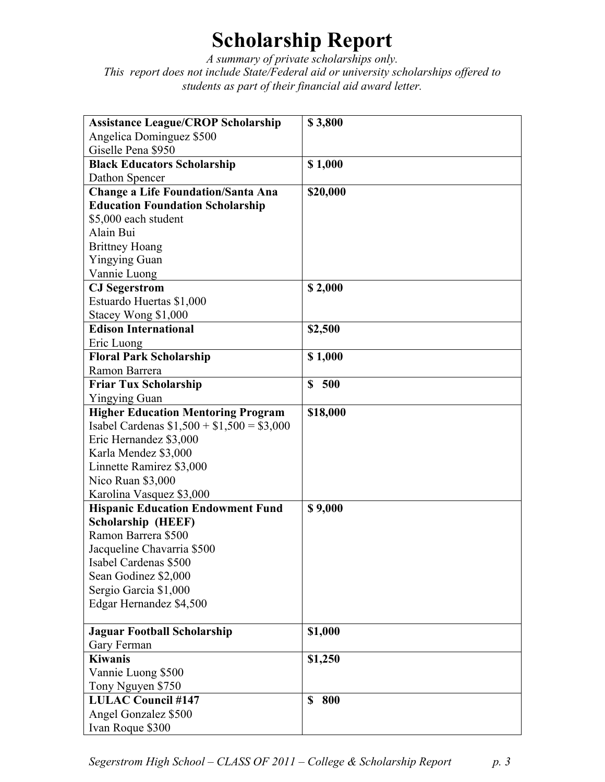## **Scholarship Report**

*A summary of private scholarships only. This report does not include State/Federal aid or university scholarships offered to students as part of their financial aid award letter.*

| <b>Assistance League/CROP Scholarship</b>  | \$3,800            |
|--------------------------------------------|--------------------|
| Angelica Dominguez \$500                   |                    |
| Giselle Pena \$950                         |                    |
| <b>Black Educators Scholarship</b>         | \$1,000            |
| Dathon Spencer                             |                    |
| <b>Change a Life Foundation/Santa Ana</b>  | \$20,000           |
| <b>Education Foundation Scholarship</b>    |                    |
| \$5,000 each student                       |                    |
| Alain Bui                                  |                    |
| <b>Brittney Hoang</b>                      |                    |
| <b>Yingying Guan</b>                       |                    |
| Vannie Luong                               |                    |
| <b>CJ</b> Segerstrom                       | \$2,000            |
| Estuardo Huertas \$1,000                   |                    |
| Stacey Wong \$1,000                        |                    |
| <b>Edison International</b>                | \$2,500            |
| Eric Luong                                 |                    |
| <b>Floral Park Scholarship</b>             | \$1,000            |
| Ramon Barrera                              |                    |
| <b>Friar Tux Scholarship</b>               | $\mathbf S$<br>500 |
| <b>Yingying Guan</b>                       |                    |
| <b>Higher Education Mentoring Program</b>  | \$18,000           |
| Isabel Cardenas $$1,500 + $1,500 = $3,000$ |                    |
| Eric Hernandez \$3,000                     |                    |
| Karla Mendez \$3,000                       |                    |
| Linnette Ramirez \$3,000                   |                    |
| Nico Ruan \$3,000                          |                    |
| Karolina Vasquez \$3,000                   |                    |
| <b>Hispanic Education Endowment Fund</b>   | \$9,000            |
| <b>Scholarship (HEEF)</b>                  |                    |
| Ramon Barrera \$500                        |                    |
| Jacqueline Chavarria \$500                 |                    |
| Isabel Cardenas \$500                      |                    |
| Sean Godinez \$2,000                       |                    |
| Sergio Garcia \$1,000                      |                    |
| Edgar Hernandez \$4,500                    |                    |
|                                            |                    |
| <b>Jaguar Football Scholarship</b>         | \$1,000            |
| Gary Ferman                                |                    |
| <b>Kiwanis</b>                             | \$1,250            |
| Vannie Luong \$500                         |                    |
| Tony Nguyen \$750                          |                    |
| <b>LULAC Council #147</b>                  | \$<br>800          |
| Angel Gonzalez \$500                       |                    |
| Ivan Roque \$300                           |                    |